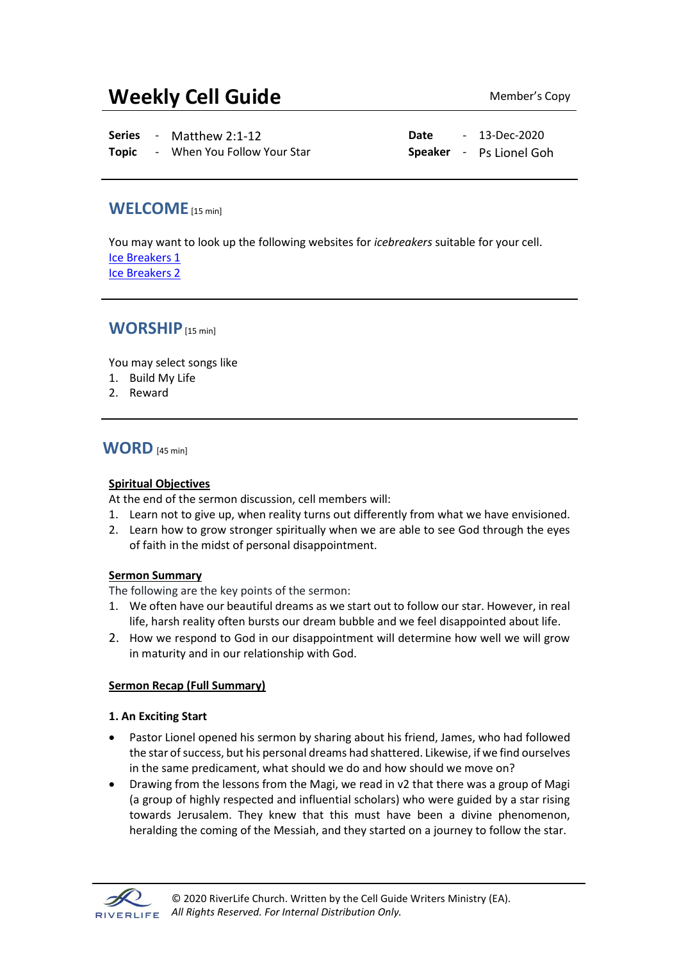# **Weekly Cell Guide** Member's Copy

**Series** - Matthew 2:1-12 **Date** - 13-Dec-2020

**Topic** - When You Follow Your Star **Speaker** - Ps Lionel Goh

## **WELCOME**[15 min]

You may want to look up the following websites for *icebreakers* suitable for your cell. [Ice Breakers 1](http://www.thesource4ym.com/games/) [Ice Breakers 2](http://www.christianitytoday.com/smallgroups/articles/icebreakersbeyond.html)

## **WORSHIP**[15 min]

You may select songs like

- 1. Build My Life
- 2. Reward

**WORD** [45 min]

#### **Spiritual Objectives**

At the end of the sermon discussion, cell members will:

- 1. Learn not to give up, when reality turns out differently from what we have envisioned.
- 2. Learn how to grow stronger spiritually when we are able to see God through the eyes of faith in the midst of personal disappointment.

#### **Sermon Summary**

The following are the key points of the sermon:

- 1. We often have our beautiful dreams as we start out to follow our star. However, in real life, harsh reality often bursts our dream bubble and we feel disappointed about life.
- 2. How we respond to God in our disappointment will determine how well we will grow in maturity and in our relationship with God.

#### **Sermon Recap (Full Summary)**

#### **1. An Exciting Start**

- Pastor Lionel opened his sermon by sharing about his friend, James, who had followed the star of success, but his personal dreams had shattered. Likewise, if we find ourselves in the same predicament, what should we do and how should we move on?
- Drawing from the lessons from the Magi, we read in v2 that there was a group of Magi (a group of highly respected and influential scholars) who were guided by a star rising towards Jerusalem. They knew that this must have been a divine phenomenon, heralding the coming of the Messiah, and they started on a journey to follow the star.

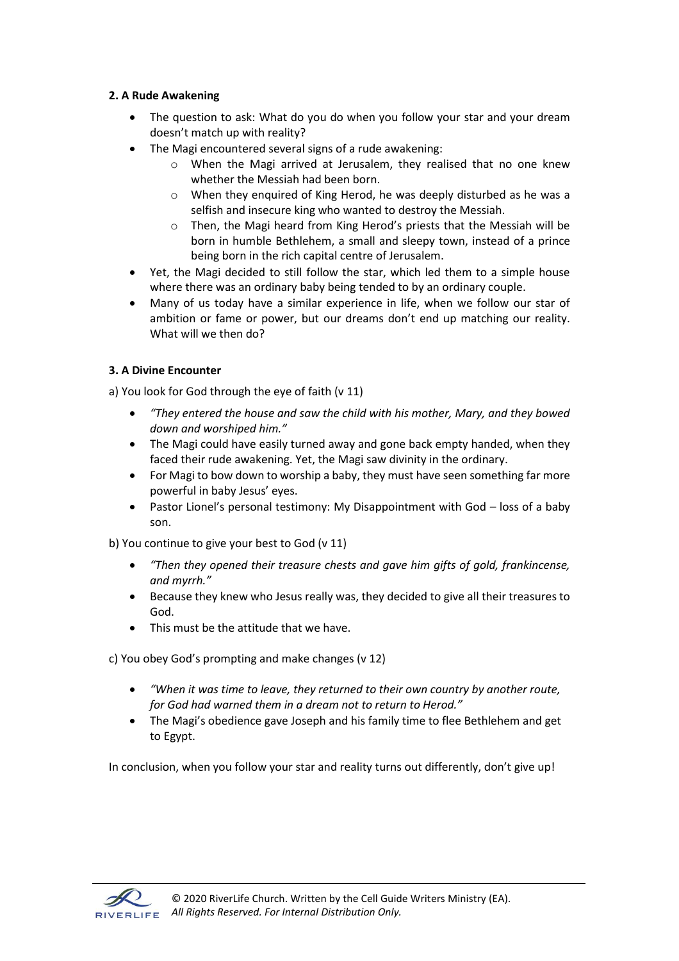### **2. A Rude Awakening**

- The question to ask: What do you do when you follow your star and your dream doesn't match up with reality?
- The Magi encountered several signs of a rude awakening:
	- o When the Magi arrived at Jerusalem, they realised that no one knew whether the Messiah had been born.
	- o When they enquired of King Herod, he was deeply disturbed as he was a selfish and insecure king who wanted to destroy the Messiah.
	- o Then, the Magi heard from King Herod's priests that the Messiah will be born in humble Bethlehem, a small and sleepy town, instead of a prince being born in the rich capital centre of Jerusalem.
- Yet, the Magi decided to still follow the star, which led them to a simple house where there was an ordinary baby being tended to by an ordinary couple.
- Many of us today have a similar experience in life, when we follow our star of ambition or fame or power, but our dreams don't end up matching our reality. What will we then do?

## **3. A Divine Encounter**

a) You look for God through the eye of faith (v 11)

- *"They entered the house and saw the child with his mother, Mary, and they bowed down and worshiped him."*
- The Magi could have easily turned away and gone back empty handed, when they faced their rude awakening. Yet, the Magi saw divinity in the ordinary.
- For Magi to bow down to worship a baby, they must have seen something far more powerful in baby Jesus' eyes.
- Pastor Lionel's personal testimony: My Disappointment with God loss of a baby son.

b) You continue to give your best to God (v 11)

- *"Then they opened their treasure chests and gave him gifts of gold, frankincense, and myrrh."*
- Because they knew who Jesus really was, they decided to give all their treasures to God.
- This must be the attitude that we have.

c) You obey God's prompting and make changes (v 12)

- *"When it was time to leave, they returned to their own country by another route, for God had warned them in a dream not to return to Herod."*
- The Magi's obedience gave Joseph and his family time to flee Bethlehem and get to Egypt.

In conclusion, when you follow your star and reality turns out differently, don't give up!